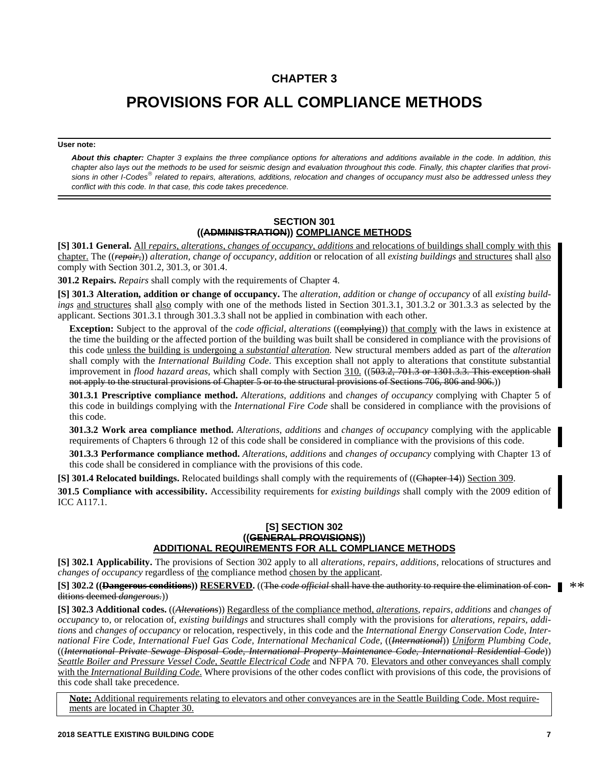## **CHAPTER 3**

# **PROVISIONS FOR ALL COMPLIANCE METHODS**

#### **User note:**

*About this chapter: Chapter 3 explains the three compliance options for alterations and additions available in the code. In addition, this chapter also lays out the methods to be used for seismic design and evaluation throughout this code. Finally, this chapter clarifies that provisions in other I-Codes related to repairs, alterations, additions, relocation and changes of occupancy must also be addressed unless they conflict with this code. In that case, this code takes precedence.*

#### **SECTION 301 ((ADMINISTRATION)) COMPLIANCE METHODS**

**[S] 301.1 General.** All *repairs*, *alterations*, *changes of occupancy*, *additions* and relocations of buildings shall comply with this chapter. The ((*repair,*)) *alteration, change of occupancy, addition* or relocation of all *existing buildings* and structures shall also comply with Section 301.2, 301.3, or 301.4.

**301.2 Repairs.** *Repairs* shall comply with the requirements of Chapter 4.

**[S] 301.3 Alteration, addition or change of occupancy.** The *alteration*, *addition* or *change of occupancy* of all *existing buildings* and structures shall also comply with one of the methods listed in Section 301.3.1, 301.3.2 or 301.3.3 as selected by the applicant. Sections 301.3.1 through 301.3.3 shall not be applied in combination with each other.

**Exception:** Subject to the approval of the *code official, alterations* ((complying)) that comply with the laws in existence at the time the building or the affected portion of the building was built shall be considered in compliance with the provisions of this code unless the building is undergoing a *substantial alteration.* New structural members added as part of the *alteration* shall comply with the *International Building Code*. This exception shall not apply to alterations that constitute substantial improvement in *flood hazard areas,* which shall comply with Section 310. ((503.2, 701.3 or 1301.3.3. This exception shall not apply to the structural provisions of Chapter 5 or to the structural provisions of Sections 706, 806 and 906.))

**301.3.1 Prescriptive compliance method.** *Alterations*, *additions* and *changes of occupancy* complying with Chapter 5 of this code in buildings complying with the *International Fire Code* shall be considered in compliance with the provisions of this code.

**301.3.2 Work area compliance method.** *Alterations*, *additions* and *changes of occupancy* complying with the applicable requirements of Chapters 6 through 12 of this code shall be considered in compliance with the provisions of this code.

**301.3.3 Performance compliance method.** *Alterations*, *additions* and *changes of occupancy* complying with Chapter 13 of this code shall be considered in compliance with the provisions of this code.

**[S] 301.4 Relocated buildings.** Relocated buildings shall comply with the requirements of ((Chapter 14)) Section 309.

**301.5 Compliance with accessibility.** Accessibility requirements for *existing buildings* shall comply with the 2009 edition of ICC A117.1.

#### **[S] SECTION 302 ((GENERAL PROVISIONS)) ADDITIONAL REQUIREMENTS FOR ALL COMPLIANCE METHODS**

**[S] 302.1 Applicability.** The provisions of Section 302 apply to all *alterations, repairs, additions,* relocations of structures and *changes of occupancy* regardless of the compliance method chosen by the applicant.

#### **[S] 302.2 ((Dangerous conditions)) RESERVED.** ((The *code official* shall have the authority to require the elimination of conditions deemed *dangerous.*))  $**$

**[S] 302.3 Additional codes.** ((*Alterations*)) Regardless of the compliance method, *alterations, repairs, additions* and *changes of occupancy* to, or relocation of, *existing buildings* and structures shall comply with the provisions for *alterations, repairs, additions* and *changes of occupancy* or relocation, respectively, in this code and the *International Energy Conservation Code, International Fire Code, International Fuel Gas Code, International Mechanical Code,* ((*International*)) *Uniform Plumbing Code,* ((*International Private Sewage Disposal Code, International Property Maintenance Code, International Residential Code*)) *Seattle Boiler and Pressure Vessel Code*, *Seattle Electrical Code* and NFPA 70. Elevators and other conveyances shall comply with the *International Building Code*. Where provisions of the other codes conflict with provisions of this code, the provisions of this code shall take precedence.

**Note:** Additional requirements relating to elevators and other conveyances are in the Seattle Building Code. Most requirements are located in Chapter 30.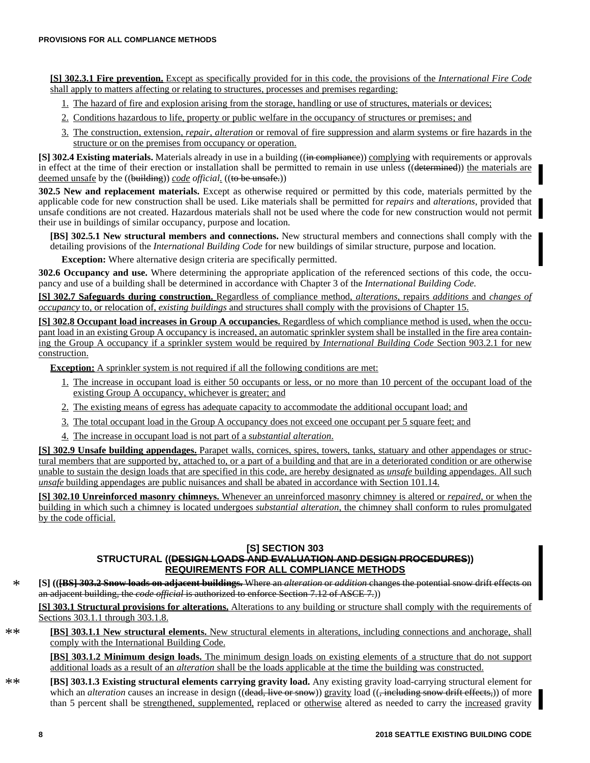**[S] 302.3.1 Fire prevention.** Except as specifically provided for in this code, the provisions of the *International Fire Code* shall apply to matters affecting or relating to structures, processes and premises regarding:

- 1. The hazard of fire and explosion arising from the storage, handling or use of structures, materials or devices;
- 2. Conditions hazardous to life, property or public welfare in the occupancy of structures or premises; and
- 3. The construction, extension, *repair, alteration* or removal of fire suppression and alarm systems or fire hazards in the structure or on the premises from occupancy or operation.

**[S] 302.4 Existing materials.** Materials already in use in a building ((in compliance)) complying with requirements or approvals in effect at the time of their erection or installation shall be permitted to remain in use unless ((determined)) the materials are deemed unsafe by the ((building)) *code official.* ((to be unsafe.))

**302.5 New and replacement materials.** Except as otherwise required or permitted by this code, materials permitted by the applicable code for new construction shall be used. Like materials shall be permitted for *repairs* and *alterations*, provided that unsafe conditions are not created. Hazardous materials shall not be used where the code for new construction would not permit their use in buildings of similar occupancy, purpose and location.

**[BS] 302.5.1 New structural members and connections.** New structural members and connections shall comply with the detailing provisions of the *International Building Code* for new buildings of similar structure, purpose and location.

**Exception:** Where alternative design criteria are specifically permitted.

**302.6 Occupancy and use.** Where determining the appropriate application of the referenced sections of this code, the occupancy and use of a building shall be determined in accordance with Chapter 3 of the *International Building Code.*

**[S] 302.7 Safeguards during construction.** Regardless of compliance method, *alterations,* repairs *additions* and *changes of occupancy* to, or relocation of, *existing buildings* and structures shall comply with the provisions of Chapter 15.

**[S] 302.8 Occupant load increases in Group A occupancies.** Regardless of which compliance method is used, when the occupant load in an existing Group A occupancy is increased, an automatic sprinkler system shall be installed in the fire area containing the Group A occupancy if a sprinkler system would be required by *International Building Code* Section 903.2.1 for new construction.

**Exception:** A sprinkler system is not required if all the following conditions are met:

- 1. The increase in occupant load is either 50 occupants or less, or no more than 10 percent of the occupant load of the existing Group A occupancy, whichever is greater; and
- 2. The existing means of egress has adequate capacity to accommodate the additional occupant load; and
- 3. The total occupant load in the Group A occupancy does not exceed one occupant per 5 square feet; and
- 4. The increase in occupant load is not part of a *substantial alteration*.

**[S] 302.9 Unsafe building appendages.** Parapet walls, cornices, spires, towers, tanks, statuary and other appendages or structural members that are supported by, attached to, or a part of a building and that are in a deteriorated condition or are otherwise unable to sustain the design loads that are specified in this code, are hereby designated as *unsafe* building appendages. All such *unsafe* building appendages are public nuisances and shall be abated in accordance with Section 101.14.

**[S] 302.10 Unreinforced masonry chimneys.** Whenever an unreinforced masonry chimney is altered or *repaired*, or when the building in which such a chimney is located undergoes *substantial alteration*, the chimney shall conform to rules promulgated by the code official.

#### **[S] SECTION 303**

## **STRUCTURAL ((DESIGN LOADS AND EVALUATION AND DESIGN PROCEDURES)) REQUIREMENTS FOR ALL COMPLIANCE METHODS**

**[S] (([BS] 303.2 Snow loads on adjacent buildings.** Where an *alteration* or *addition* changes the potential snow drift effects on an adjacent building, the *code official* is authorized to enforce Section 7.12 of ASCE 7.)) \*

**[S] 303.1 Structural provisions for alterations.** Alterations to any building or structure shall comply with the requirements of Sections 303.1.1 through 303.1.8.

**[BS] 303.1.1 New structural elements.** New structural elements in alterations, including connections and anchorage, shall comply with the International Building Code.  $**$ 

**[BS] 303.1.2 Minimum design loads.** The minimum design loads on existing elements of a structure that do not support additional loads as a result of an *alteration* shall be the loads applicable at the time the building was constructed.

**[BS] 303.1.3 Existing structural elements carrying gravity load.** Any existing gravity load-carrying structural element for which an *alteration* causes an increase in design ((dead, live or snow)) gravity load ((, including snow drift effects,)) of more than 5 percent shall be strengthened, supplemented, replaced or otherwise altered as needed to carry the increased gravity \*\*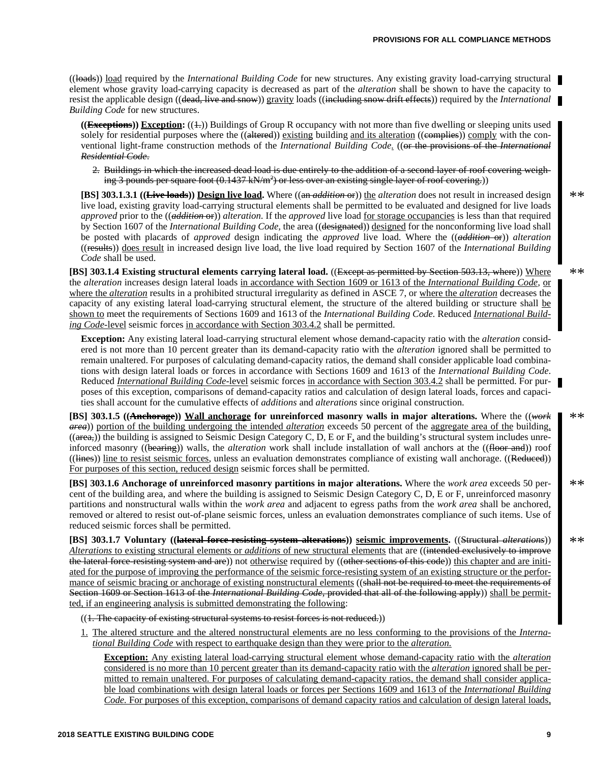((loads)) load required by the *International Building Code* for new structures. Any existing gravity load-carrying structural element whose gravity load-carrying capacity is decreased as part of the *alteration* shall be shown to have the capacity to resist the applicable design ((dead, live and snow)) gravity loads ((including snow drift effects)) required by the *International Building Code* for new structures.

 $((\textbf{Exceptions}))$  Exception:  $((\text{+)})$  Buildings of Group R occupancy with not more than five dwelling or sleeping units used solely for residential purposes where the  $((\text{elltered}))$  existing building and its alteration  $((\text{eemplies}))$  comply with the conventional light-frame construction methods of the *International Building Code.* ((or the provisions of the *International Residential Code*.

2. Buildings in which the increased dead load is due entirely to the addition of a second layer of roof covering weighing 3 pounds per square foot (0.1437 kN/m<sup>2</sup>) or less over an existing single layer of roof covering.))

**[BS] 303.1.3.1 ((Live loads)) Design live load.** Where ((an *addition* or)) the *alteration* does not result in increased design live load, existing gravity load-carrying structural elements shall be permitted to be evaluated and designed for live loads *approved* prior to the ((*addition* or)) *alteration*. If the *approved* live load for storage occupancies is less than that required by Section 1607 of the *International Building Code,* the area ((designated)) designed for the nonconforming live load shall be posted with placards of *approved* design indicating the *approved* live load. Where the ((*addition* or)) *alteration* ((results)) does result in increased design live load, the live load required by Section 1607 of the *International Building Code* shall be used.

**[BS] 303.1.4 Existing structural elements carrying lateral load.** ((Except as permitted by Section 503.13, where)) Where the *alteration* increases design lateral loads in accordance with Section 1609 or 1613 of the *International Building Code,* or where the *alteration* results in a prohibited structural irregularity as defined in ASCE 7, or where the *alteration* decreases the capacity of any existing lateral load-carrying structural element, the structure of the altered building or structure shall be shown to meet the requirements of Sections 1609 and 1613 of the *International Building Code.* Reduced *International Building Code-*level seismic forces in accordance with Section 303.4.2 shall be permitted.

**Exception:** Any existing lateral load-carrying structural element whose demand-capacity ratio with the *alteration* considered is not more than 10 percent greater than its demand-capacity ratio with the *alteration* ignored shall be permitted to remain unaltered. For purposes of calculating demand-capacity ratios, the demand shall consider applicable load combinations with design lateral loads or forces in accordance with Sections 1609 and 1613 of the *International Building Code*. Reduced *International Building Code*-level seismic forces in accordance with Section 303.4.2 shall be permitted. For purposes of this exception, comparisons of demand-capacity ratios and calculation of design lateral loads, forces and capacities shall account for the cumulative effects of *additions* and *alterations* since original construction.

**[BS] 303.1.5 ((Anchorage)) Wall anchorage for unreinforced masonry walls in major alterations.** Where the ((*work area*)) portion of the building undergoing the intended *alteration* exceeds 50 percent of the aggregate area of the building,  $((\text{area}))$  the building is assigned to Seismic Design Category C, D, E or  $F<sub>1</sub>$  and the building's structural system includes unreinforced masonry ((bearing)) walls, the *alteration* work shall include installation of wall anchors at the ((floor and)) roof ((lines)) line to resist seismic forces, unless an evaluation demonstrates compliance of existing wall anchorage. ((Reduced)) For purposes of this section, reduced design seismic forces shall be permitted.

**[BS] 303.1.6 Anchorage of unreinforced masonry partitions in major alterations.** Where the *work area* exceeds 50 percent of the building area, and where the building is assigned to Seismic Design Category C, D, E or F, unreinforced masonry partitions and nonstructural walls within the *work area* and adjacent to egress paths from the *work area* shall be anchored, removed or altered to resist out-of-plane seismic forces, unless an evaluation demonstrates compliance of such items. Use of reduced seismic forces shall be permitted.

**[BS] 303.1.7 Voluntary ((lateral force-resisting system alterations)) seismic improvements.** ((Structural *alterations*)) *Alterations* to existing structural elements or *additions* of new structural elements that are ((intended exclusively to improve the lateral force resisting system and are)) not <u>otherwise</u> required by ((other sections of this code)) this chapter and are initiated for the purpose of improving the performance of the seismic force-resisting system of an existing structure or the performance of seismic bracing or anchorage of existing nonstructural elements ((shall not be required to meet the requirements of Section 1609 or Section 1613 of the *International Building Code,* provided that all of the following apply)) shall be permitted, if an engineering analysis is submitted demonstrating the following:

((1. The capacity of existing structural systems to resist forces is not reduced.))

1. The altered structure and the altered nonstructural elements are no less conforming to the provisions of the *International Building Code* with respect to earthquake design than they were prior to the *alteration.*

**Exception:** Any existing lateral load-carrying structural element whose demand-capacity ratio with the *alteration* considered is no more than 10 percent greater than its demand-capacity ratio with the *alteration* ignored shall be permitted to remain unaltered. For purposes of calculating demand-capacity ratios, the demand shall consider applicable load combinations with design lateral loads or forces per Sections 1609 and 1613 of the *International Building Code.* For purposes of this exception, comparisons of demand capacity ratios and calculation of design lateral loads,

\*\*

 $**$ 

\*\*

\*\*

\*\*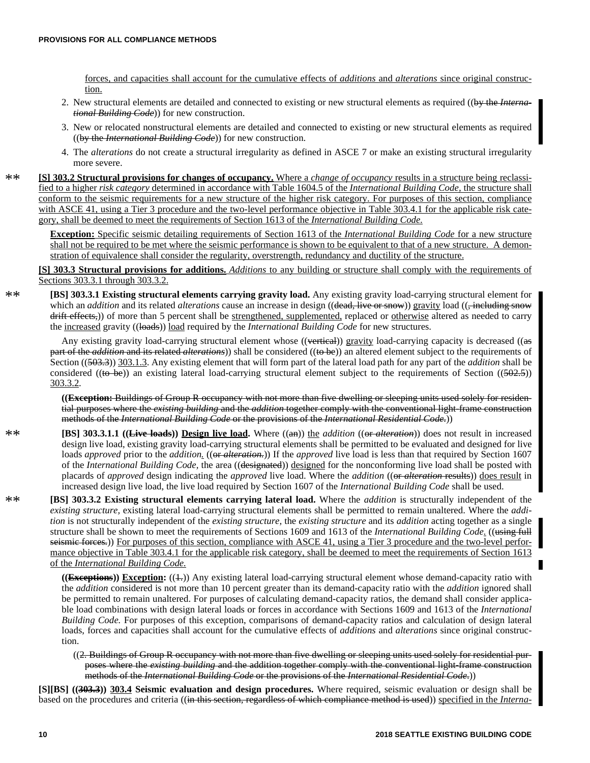forces, and capacities shall account for the cumulative effects of *additions* and *alterations* since original construction.

- 2. New structural elements are detailed and connected to existing or new structural elements as required ((by the *International Building Code*)) for new construction.
- 3. New or relocated nonstructural elements are detailed and connected to existing or new structural elements as required ((by the *International Building Code*)) for new construction.
- 4. The *alterations* do not create a structural irregularity as defined in ASCE 7 or make an existing structural irregularity more severe.
- **[S] 303.2 Structural provisions for changes of occupancy.** Where a *change of occupancy* results in a structure being reclassified to a higher *risk category* determined in accordance with Table 1604.5 of the *International Building Code,* the structure shall conform to the seismic requirements for a new structure of the higher risk category. For purposes of this section, compliance with ASCE 41, using a Tier 3 procedure and the two-level performance objective in Table 303.4.1 for the applicable risk category, shall be deemed to meet the requirements of Section 1613 of the *International Building Code.*  $**$

**Exception:** Specific seismic detailing requirements of Section 1613 of the *International Building Code* for a new structure shall not be required to be met where the seismic performance is shown to be equivalent to that of a new structure. A demonstration of equivalence shall consider the regularity, overstrength, redundancy and ductility of the structure.

**[S] 303.3 Structural provisions for additions.** *Additions* to any building or structure shall comply with the requirements of Sections 303.3.1 through 303.3.2.

 $**$ 

 $**$ 

**[BS] 303.3.1 Existing structural elements carrying gravity load.** Any existing gravity load-carrying structural element for which an *addition* and its related *alterations* cause an increase in design ((dead, live or snow)) gravity load ((, including snow drift effects,)) of more than 5 percent shall be strengthened, supplemented, replaced or otherwise altered as needed to carry the increased gravity ((loads)) load required by the *International Building Code* for new structures.

Any existing gravity load-carrying structural element whose ((vertical)) gravity load-carrying capacity is decreased ((as part of the *addition* and its related *alterations*)) shall be considered ((to be)) an altered element subject to the requirements of Section ((503.3)) 303.1.3. Any existing element that will form part of the lateral load path for any part of the *addition* shall be considered ((to be)) an existing lateral load-carrying structural element subject to the requirements of Section ( $(502.5)$ ) 303.3.2.

**((Exception:** Buildings of Group R occupancy with not more than five dwelling or sleeping units used solely for residential purposes where the *existing building* and the *addition* together comply with the conventional light-frame construction methods of the *International Building Code* or the provisions of the *International Residential Code*.))

- **[BS] 303.3.1.1 ((Live loads)) Design live load.** Where ((an)) the *addition* ((or *alteration*)) does not result in increased design live load, existing gravity load-carrying structural elements shall be permitted to be evaluated and designed for live loads *approved* prior to the *addition.* ((<del>or *alteration*.</del>)) If the *approved* live load is less than that required by Section 1607 of the *International Building Code,* the area ((designated)) designed for the nonconforming live load shall be posted with placards of *approved* design indicating the *approved* live load. Where the *addition* ((or *alteration* results)) does result in increased design live load, the live load required by Section 1607 of the *International Building Code* shall be used. \*\*
	- **[BS] 303.3.2 Existing structural elements carrying lateral load.** Where the *addition* is structurally independent of the *existing structure,* existing lateral load-carrying structural elements shall be permitted to remain unaltered. Where the *addition* is not structurally independent of the *existing structure,* the *existing structure* and its *addition* acting together as a single structure shall be shown to meet the requirements of Sections 1609 and 1613 of the *International Building Code.* ((using full seismic forces.)) For purposes of this section, compliance with ASCE 41, using a Tier 3 procedure and the two-level performance objective in Table 303.4.1 for the applicable risk category, shall be deemed to meet the requirements of Section 1613 of the *International Building Code.*

((Exceptions)) Exception: ((4.)) Any existing lateral load-carrying structural element whose demand-capacity ratio with the *addition* considered is not more than 10 percent greater than its demand-capacity ratio with the *addition* ignored shall be permitted to remain unaltered. For purposes of calculating demand-capacity ratios, the demand shall consider applicable load combinations with design lateral loads or forces in accordance with Sections 1609 and 1613 of the *International Building Code.* For purposes of this exception, comparisons of demand-capacity ratios and calculation of design lateral loads, forces and capacities shall account for the cumulative effects of *additions* and *alterations* since original construction.

((2. Buildings of Group R occupancy with not more than five dwelling or sleeping units used solely for residential purposes where the *existing building* and the addition together comply with the conventional light-frame construction methods of the *International Building Code* or the provisions of the *International Residential Code*.))

**[S][BS] ((303.3)) 303.4 Seismic evaluation and design procedures.** Where required, seismic evaluation or design shall be based on the procedures and criteria ((in this section, regardless of which compliance method is used)) specified in the *Interna-*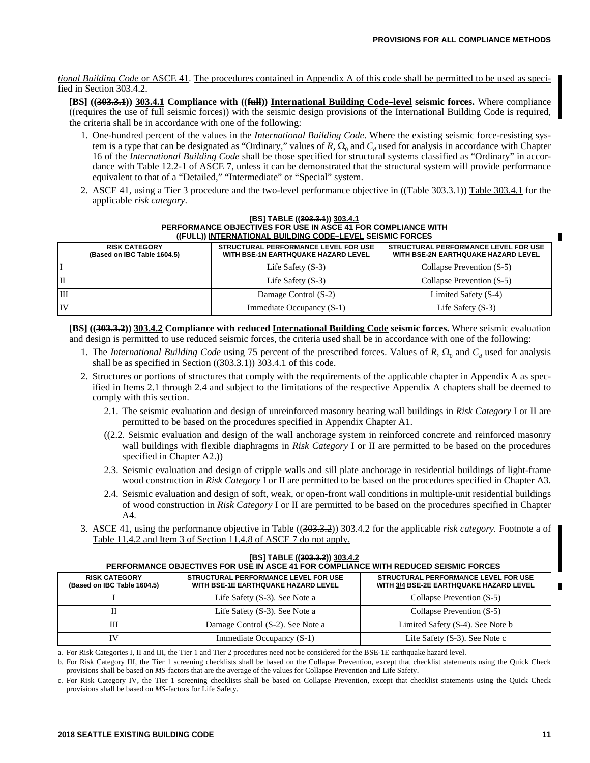#### *tional Building Code* or ASCE 41. The procedures contained in Appendix A of this code shall be permitted to be used as specified in Section 303.4.2.

**[BS] ((303.3.1)) 303.4.1 Compliance with ((full)) International Building Code–level seismic forces.** Where compliance ((requires the use of full seismic forces)) with the seismic design provisions of the International Building Code is required, the criteria shall be in accordance with one of the following:

- 1. One-hundred percent of the values in the *International Building Code*. Where the existing seismic force-resisting system is a type that can be designated as "Ordinary," values of  $R$ ,  $\Omega_0$  and  $C_d$  used for analysis in accordance with Chapter 16 of the *International Building Code* shall be those specified for structural systems classified as "Ordinary" in accordance with Table 12.2-1 of ASCE 7, unless it can be demonstrated that the structural system will provide performance equivalent to that of a "Detailed," "Intermediate" or "Special" system.
- 2. ASCE 41, using a Tier 3 procedure and the two-level performance objective in ((Table 303.3.1)) Table 303.4.1 for the applicable *risk category*.

|             | PERFORMANCE OBJECTIVES FOR USE IN ASCE 41 FOR COMPLIANCE WITH<br>((FULL)) INTERNATIONAL BUILDING CODE-LEVEL SEISMIC FORCES |                                                                             |                                                                                    |  |  |  |  |  |
|-------------|----------------------------------------------------------------------------------------------------------------------------|-----------------------------------------------------------------------------|------------------------------------------------------------------------------------|--|--|--|--|--|
|             | <b>RISK CATEGORY</b><br>(Based on IBC Table 1604.5)                                                                        | STRUCTURAL PERFORMANCE LEVEL FOR USE<br>WITH BSE-1N EARTHQUAKE HAZARD LEVEL | STRUCTURAL PERFORMANCE LEVEL FOR USE<br><b>WITH BSE-2N EARTHQUAKE HAZARD LEVEL</b> |  |  |  |  |  |
|             |                                                                                                                            | Life Safety $(S-3)$                                                         | Collapse Prevention (S-5)                                                          |  |  |  |  |  |
| $_{\rm II}$ |                                                                                                                            | Life Safety $(S-3)$                                                         | Collapse Prevention (S-5)                                                          |  |  |  |  |  |
| ПI          |                                                                                                                            | Damage Control (S-2)                                                        | Limited Safety (S-4)                                                               |  |  |  |  |  |
| IV          |                                                                                                                            | Immediate Occupancy (S-1)                                                   | Life Safety $(S-3)$                                                                |  |  |  |  |  |

## **[BS] TABLE ((303.3.1)) 303.4.1 PERFORMANCE OBJECTIVES FOR USE IN ASCE 41 FOR COMPLIANCE WITH**

**[BS] ((303.3.2)) 303.4.2 Compliance with reduced International Building Code seismic forces.** Where seismic evaluation and design is permitted to use reduced seismic forces, the criteria used shall be in accordance with one of the following:

- 1. The *International Building Code* using 75 percent of the prescribed forces. Values of  $R$ ,  $\Omega_0$  and  $C_d$  used for analysis shall be as specified in Section  $((303.3.1))$   $303.4.1$  of this code.
- 2. Structures or portions of structures that comply with the requirements of the applicable chapter in Appendix A as specified in Items 2.1 through 2.4 and subject to the limitations of the respective Appendix A chapters shall be deemed to comply with this section.
	- 2.1. The seismic evaluation and design of unreinforced masonry bearing wall buildings in *Risk Category* I or II are permitted to be based on the procedures specified in Appendix Chapter A1.
	- $((2.2.3. Seismic evaluation and design of the wall anchored system in reinforced concrete and reinforced masonry)$ wall buildings with flexible diaphragms in *Risk Category* I or II are permitted to be based on the procedures specified in Chapter A2.)
	- 2.3. Seismic evaluation and design of cripple walls and sill plate anchorage in residential buildings of light-frame wood construction in *Risk Category* I or II are permitted to be based on the procedures specified in Chapter A3.
	- 2.4. Seismic evaluation and design of soft, weak, or open-front wall conditions in multiple-unit residential buildings of wood construction in *Risk Category* I or II are permitted to be based on the procedures specified in Chapter A4.
- 3. ASCE 41, using the performance objective in Table ((303.3.2)) 303.4.2 for the applicable *risk category.* Footnote a of Table 11.4.2 and Item 3 of Section 11.4.8 of ASCE 7 do not apply.

| PERFORMANCE OBJECTIVES FOR USE IN ASCE 41 FOR COMPLIANCE WITH REDUCED SEISMIC FORCES |                                                                                                                                                                |                                  |  |  |  |  |  |
|--------------------------------------------------------------------------------------|----------------------------------------------------------------------------------------------------------------------------------------------------------------|----------------------------------|--|--|--|--|--|
| <b>RISK CATEGORY</b><br>(Based on IBC Table 1604.5)                                  | STRUCTURAL PERFORMANCE LEVEL FOR USE<br>STRUCTURAL PERFORMANCE LEVEL FOR USE<br>WITH BSE-1E EARTHQUAKE HAZARD LEVEL<br>WITH 3/4 BSE-2E EARTHQUAKE HAZARD LEVEL |                                  |  |  |  |  |  |
|                                                                                      | Life Safety (S-3). See Note a                                                                                                                                  | Collapse Prevention (S-5)        |  |  |  |  |  |
|                                                                                      | Life Safety (S-3). See Note a                                                                                                                                  | Collapse Prevention (S-5)        |  |  |  |  |  |
| Ш                                                                                    | Damage Control (S-2). See Note a                                                                                                                               | Limited Safety (S-4). See Note b |  |  |  |  |  |
| IV                                                                                   | Immediate Occupancy (S-1)                                                                                                                                      | Life Safety $(S-3)$ . See Note c |  |  |  |  |  |

**[BS] TABLE ((303.3.2)) 303.4.2**

a. For Risk Categories I, II and III, the Tier 1 and Tier 2 procedures need not be considered for the BSE-1E earthquake hazard level.

b. For Risk Category III, the Tier 1 screening checklists shall be based on the Collapse Prevention, except that checklist statements using the Quick Check provisions shall be based on *MS*-factors that are the average of the values for Collapse Prevention and Life Safety.

c. For Risk Category IV, the Tier 1 screening checklists shall be based on Collapse Prevention, except that checklist statements using the Quick Check provisions shall be based on *MS*-factors for Life Safety.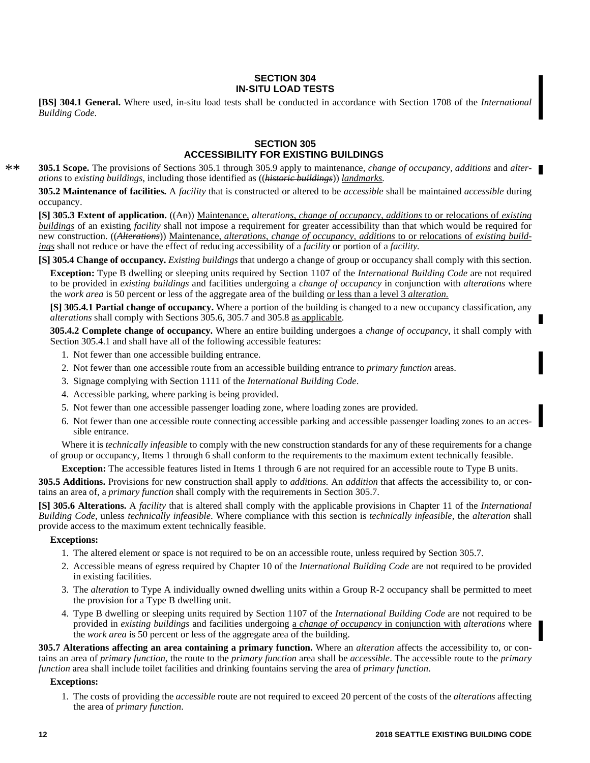#### **SECTION 304 IN-SITU LOAD TESTS**

**[BS] 304.1 General.** Where used, in-situ load tests shall be conducted in accordance with Section 1708 of the *International Building Code*.

#### **SECTION 305 ACCESSIBILITY FOR EXISTING BUILDINGS**

**305.1 Scope.** The provisions of Sections 305.1 through 305.9 apply to maintenance, *change of occupancy, additions* and *alterations* to *existing buildings*, including those identified as ((*historic buildings*)) *landmarks.* \*\*

**305.2 Maintenance of facilities.** A *facility* that is constructed or altered to be *accessible* shall be maintained *accessible* during occupancy.

**[S] 305.3 Extent of application.** ((An)) Maintenance, *alterations, change of occupancy, additions* to or relocations of *existing buildings* of an existing *facility* shall not impose a requirement for greater accessibility than that which would be required for new construction. ((*Alterations*)) Maintenance, *alterations, change of occupancy, additions* to or relocations of *existing buildings* shall not reduce or have the effect of reducing accessibility of a *facility* or portion of a *facility.*

**[S] 305.4 Change of occupancy.** *Existing buildings* that undergo a change of group or occupancy shall comply with this section.

**Exception:** Type B dwelling or sleeping units required by Section 1107 of the *International Building Code* are not required to be provided in *existing buildings* and facilities undergoing a *change of occupancy* in conjunction with *alterations* where the *work area* is 50 percent or less of the aggregate area of the building or less than a level 3 *alteration.*

**[S] 305.4.1 Partial change of occupancy.** Where a portion of the building is changed to a new occupancy classification, any *alterations* shall comply with Sections 305.6, 305.7 and 305.8 as applicable.

**305.4.2 Complete change of occupancy.** Where an entire building undergoes a *change of occupancy,* it shall comply with Section 305.4.1 and shall have all of the following accessible features:

- 1. Not fewer than one accessible building entrance.
- 2. Not fewer than one accessible route from an accessible building entrance to *primary function* areas.
- 3. Signage complying with Section 1111 of the *International Building Code*.
- 4. Accessible parking, where parking is being provided.
- 5. Not fewer than one accessible passenger loading zone, where loading zones are provided.
- 6. Not fewer than one accessible route connecting accessible parking and accessible passenger loading zones to an accessible entrance.

Where it is *technically infeasible* to comply with the new construction standards for any of these requirements for a change of group or occupancy, Items 1 through 6 shall conform to the requirements to the maximum extent technically feasible.

**Exception:** The accessible features listed in Items 1 through 6 are not required for an accessible route to Type B units.

**305.5 Additions.** Provisions for new construction shall apply to *additions.* An *addition* that affects the accessibility to, or contains an area of, a *primary function* shall comply with the requirements in Section 305.7.

**[S] 305.6 Alterations.** A *facility* that is altered shall comply with the applicable provisions in Chapter 11 of the *International Building Code,* unless *technically infeasible*. Where compliance with this section is *technically infeasible,* the *alteration* shall provide access to the maximum extent technically feasible.

#### **Exceptions:**

- 1. The altered element or space is not required to be on an accessible route, unless required by Section 305.7.
- 2. Accessible means of egress required by Chapter 10 of the *International Building Code* are not required to be provided in existing facilities.
- 3. The *alteration* to Type A individually owned dwelling units within a Group R-2 occupancy shall be permitted to meet the provision for a Type B dwelling unit.
- 4. Type B dwelling or sleeping units required by Section 1107 of the *International Building Code* are not required to be provided in *existing buildings* and facilities undergoing a *change of occupancy* in conjunction with *alterations* where the *work area* is 50 percent or less of the aggregate area of the building.

**305.7 Alterations affecting an area containing a primary function.** Where an *alteration* affects the accessibility to, or contains an area of *primary function*, the route to the *primary function* area shall be *accessible*. The accessible route to the *primary function* area shall include toilet facilities and drinking fountains serving the area of *primary function*.

#### **Exceptions:**

1. The costs of providing the *accessible* route are not required to exceed 20 percent of the costs of the *alterations* affecting the area of *primary function*.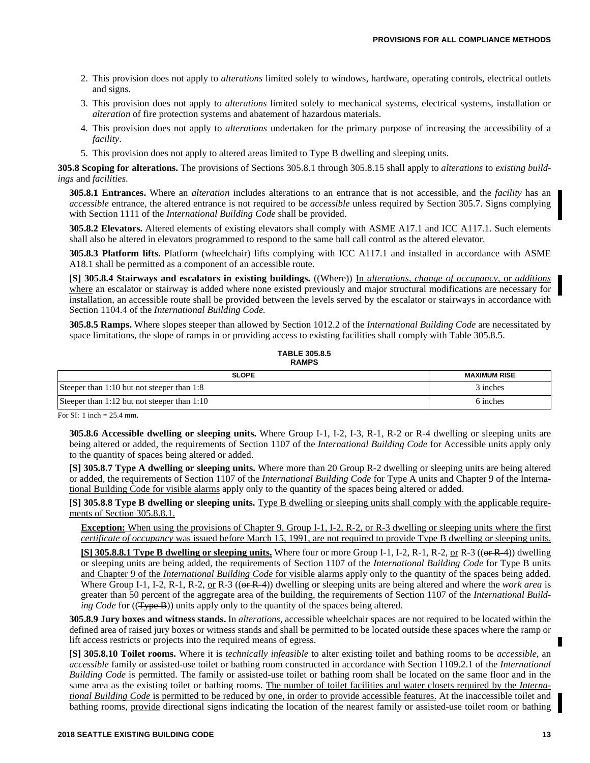- 2. This provision does not apply to *alterations* limited solely to windows, hardware, operating controls, electrical outlets and signs.
- 3. This provision does not apply to *alterations* limited solely to mechanical systems, electrical systems, installation or *alteration* of fire protection systems and abatement of hazardous materials.
- 4. This provision does not apply to *alterations* undertaken for the primary purpose of increasing the accessibility of a *facility*.
- 5. This provision does not apply to altered areas limited to Type B dwelling and sleeping units.

**305.8 Scoping for alterations.** The provisions of Sections 305.8.1 through 305.8.15 shall apply to *alterations* to *existing buildings* and *facilities*.

**305.8.1 Entrances.** Where an *alteration* includes alterations to an entrance that is not accessible, and the *facility* has an *accessible* entrance, the altered entrance is not required to be *accessible* unless required by Section 305.7. Signs complying with Section 1111 of the *International Building Code* shall be provided.

**305.8.2 Elevators.** Altered elements of existing elevators shall comply with ASME A17.1 and ICC A117.1. Such elements shall also be altered in elevators programmed to respond to the same hall call control as the altered elevator.

**305.8.3 Platform lifts.** Platform (wheelchair) lifts complying with ICC A117.1 and installed in accordance with ASME A18.1 shall be permitted as a component of an accessible route.

**[S] 305.8.4 Stairways and escalators in existing buildings.** ((Where)) In *alterations, change of occupancy,* or *additions* where an escalator or stairway is added where none existed previously and major structural modifications are necessary for installation, an accessible route shall be provided between the levels served by the escalator or stairways in accordance with Section 1104.4 of the *International Building Code.*

**305.8.5 Ramps.** Where slopes steeper than allowed by Section 1012.2 of the *International Building Code* are necessitated by space limitations, the slope of ramps in or providing access to existing facilities shall comply with Table 305.8.5.

**TABLE 305.8.5 RAMPS**

| <b>SLOPE</b>                                | <b>MAXIMUM RISE</b> |
|---------------------------------------------|---------------------|
| Steeper than 1:10 but not steeper than 1:8  | 3 inches            |
| Steeper than 1:12 but not steeper than 1:10 | 6 inches            |

For SI: 1 inch = 25.4 mm.

**305.8.6 Accessible dwelling or sleeping units.** Where Group I-1, I-2, I-3, R-1, R-2 or R-4 dwelling or sleeping units are being altered or added, the requirements of Section 1107 of the *International Building Code* for Accessible units apply only to the quantity of spaces being altered or added.

**[S] 305.8.7 Type A dwelling or sleeping units.** Where more than 20 Group R-2 dwelling or sleeping units are being altered or added, the requirements of Section 1107 of the *International Building Code* for Type A units and Chapter 9 of the International Building Code for visible alarms apply only to the quantity of the spaces being altered or added.

**[S] 305.8.8 Type B dwelling or sleeping units.** Type B dwelling or sleeping units shall comply with the applicable requirements of Section 305.8.8.1.

**Exception:** When using the provisions of Chapter 9, Group I-1, I-2, R-2, or R-3 dwelling or sleeping units where the first *certificate of occupancy* was issued before March 15, 1991, are not required to provide Type B dwelling or sleeping units.

**[S] 305.8.8.1 Type B dwelling or sleeping units.** Where four or more Group I-1, I-2, R-1, R-2, or R-3 ((or R-4)) dwelling or sleeping units are being added, the requirements of Section 1107 of the *International Building Code* for Type B units and Chapter 9 of the *International Building Code* for visible alarms apply only to the quantity of the spaces being added. Where Group I-1, I-2, R-1, R-2, or R-3 ((or R-4)) dwelling or sleeping units are being altered and where the *work area* is greater than 50 percent of the aggregate area of the building, the requirements of Section 1107 of the *International Building Code* for ((Type B)) units apply only to the quantity of the spaces being altered.

**305.8.9 Jury boxes and witness stands.** In *alterations*, accessible wheelchair spaces are not required to be located within the defined area of raised jury boxes or witness stands and shall be permitted to be located outside these spaces where the ramp or lift access restricts or projects into the required means of egress.

**[S] 305.8.10 Toilet rooms.** Where it is *technically infeasible* to alter existing toilet and bathing rooms to be *accessible,* an *accessible* family or assisted-use toilet or bathing room constructed in accordance with Section 1109.2.1 of the *International Building Code* is permitted. The family or assisted-use toilet or bathing room shall be located on the same floor and in the same area as the existing toilet or bathing rooms. The number of toilet facilities and water closets required by the *International Building Code* is permitted to be reduced by one, in order to provide accessible features. At the inaccessible toilet and bathing rooms, provide directional signs indicating the location of the nearest family or assisted-use toilet room or bathing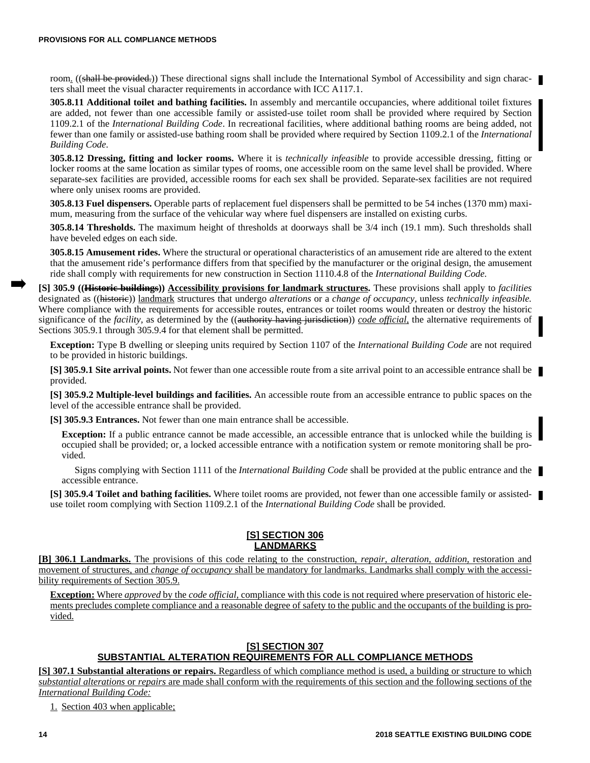room. ((shall be provided.)) These directional signs shall include the International Symbol of Accessibility and sign characters shall meet the visual character requirements in accordance with ICC A117.1.

**305.8.11 Additional toilet and bathing facilities.** In assembly and mercantile occupancies, where additional toilet fixtures are added, not fewer than one accessible family or assisted-use toilet room shall be provided where required by Section 1109.2.1 of the *International Building Code*. In recreational facilities, where additional bathing rooms are being added, not fewer than one family or assisted-use bathing room shall be provided where required by Section 1109.2.1 of the *International Building Code*.

**305.8.12 Dressing, fitting and locker rooms.** Where it is *technically infeasible* to provide accessible dressing, fitting or locker rooms at the same location as similar types of rooms, one accessible room on the same level shall be provided. Where separate-sex facilities are provided, accessible rooms for each sex shall be provided. Separate-sex facilities are not required where only unisex rooms are provided.

**305.8.13 Fuel dispensers.** Operable parts of replacement fuel dispensers shall be permitted to be 54 inches (1370 mm) maximum, measuring from the surface of the vehicular way where fuel dispensers are installed on existing curbs.

**305.8.14 Thresholds.** The maximum height of thresholds at doorways shall be 3/4 inch (19.1 mm). Such thresholds shall have beveled edges on each side.

**305.8.15 Amusement rides.** Where the structural or operational characteristics of an amusement ride are altered to the extent that the amusement ride's performance differs from that specified by the manufacturer or the original design, the amusement ride shall comply with requirements for new construction in Section 1110.4.8 of the *International Building Code.*

**[S] 305.9 ((Historic buildings)) Accessibility provisions for landmark structures.** These provisions shall apply to *facilities* designated as ((historic)) landmark structures that undergo *alterations* or a *change of occupancy,* unless *technically infeasible.* Where compliance with the requirements for accessible routes, entrances or toilet rooms would threaten or destroy the historic significance of the *facility*, as determined by the ((authority having jurisdiction)) *code official*, the alternative requirements of Sections 305.9.1 through 305.9.4 for that element shall be permitted.

**Exception:** Type B dwelling or sleeping units required by Section 1107 of the *International Building Code* are not required to be provided in historic buildings.

**[S] 305.9.1 Site arrival points.** Not fewer than one accessible route from a site arrival point to an accessible entrance shall be provided.

**[S] 305.9.2 Multiple-level buildings and facilities.** An accessible route from an accessible entrance to public spaces on the level of the accessible entrance shall be provided.

**[S] 305.9.3 Entrances.** Not fewer than one main entrance shall be accessible.

**Exception:** If a public entrance cannot be made accessible, an accessible entrance that is unlocked while the building is occupied shall be provided; or, a locked accessible entrance with a notification system or remote monitoring shall be provided.

Signs complying with Section 1111 of the *International Building Code* shall be provided at the public entrance and the accessible entrance.

**[S] 305.9.4 Toilet and bathing facilities.** Where toilet rooms are provided, not fewer than one accessible family or assisteduse toilet room complying with Section 1109.2.1 of the *International Building Code* shall be provided.

## **[S] SECTION 306 LANDMARKS**

**[B] 306.1 Landmarks.** The provisions of this code relating to the construction, *repair, alteration, addition,* restoration and movement of structures, and *change of occupancy* shall be mandatory for landmarks. Landmarks shall comply with the accessibility requirements of Section 305.9.

**Exception:** Where *approved* by the *code official,* compliance with this code is not required where preservation of historic elements precludes complete compliance and a reasonable degree of safety to the public and the occupants of the building is provided.

### **[S] SECTION 307 SUBSTANTIAL ALTERATION REQUIREMENTS FOR ALL COMPLIANCE METHODS**

**[S] 307.1 Substantial alterations or repairs.** Regardless of which compliance method is used, a building or structure to which *substantial alterations* or *repairs* are made shall conform with the requirements of this section and the following sections of the *International Building Code:*

1. Section 403 when applicable;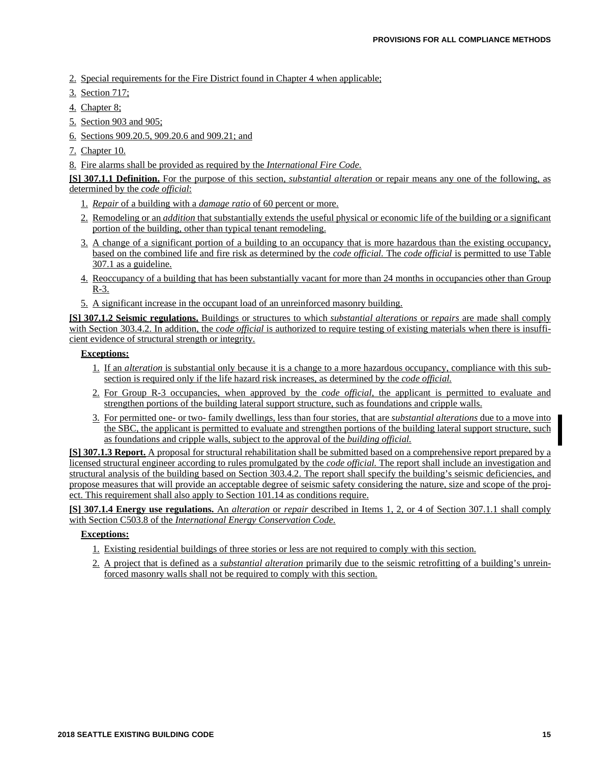- 2. Special requirements for the Fire District found in Chapter 4 when applicable;
- 3. Section 717;
- 4. Chapter 8;
- 5. Section 903 and 905;
- 6. Sections 909.20.5, 909.20.6 and 909.21; and
- 7. Chapter 10.
- 8. Fire alarms shall be provided as required by the *International Fire Code.*

**[S] 307.1.1 Definition.** For the purpose of this section, *substantial alteration* or repair means any one of the following, as determined by the *code official*:

- 1. *Repair* of a building with a *damage ratio* of 60 percent or more.
- 2. Remodeling or an *addition* that substantially extends the useful physical or economic life of the building or a significant portion of the building, other than typical tenant remodeling.
- 3. A change of a significant portion of a building to an occupancy that is more hazardous than the existing occupancy, based on the combined life and fire risk as determined by the *code official.* The *code official* is permitted to use Table 307.1 as a guideline.
- 4. Reoccupancy of a building that has been substantially vacant for more than 24 months in occupancies other than Group R-3.
- 5. A significant increase in the occupant load of an unreinforced masonry building.

**[S] 307.1.2 Seismic regulations.** Buildings or structures to which *substantial alterations* or *repairs* are made shall comply with Section 303.4.2. In addition, the *code official* is authorized to require testing of existing materials when there is insufficient evidence of structural strength or integrity.

#### **Exceptions:**

- 1. If an *alteration* is substantial only because it is a change to a more hazardous occupancy, compliance with this subsection is required only if the life hazard risk increases, as determined by the *code official.*
- 2. For Group R-3 occupancies, when approved by the *code official,* the applicant is permitted to evaluate and strengthen portions of the building lateral support structure, such as foundations and cripple walls.
- 3. For permitted one- or two- family dwellings, less than four stories, that are *substantial alterations* due to a move into the SBC, the applicant is permitted to evaluate and strengthen portions of the building lateral support structure, such as foundations and cripple walls, subject to the approval of the *building official.*

**[S] 307.1.3 Report.** A proposal for structural rehabilitation shall be submitted based on a comprehensive report prepared by a licensed structural engineer according to rules promulgated by the *code official.* The report shall include an investigation and structural analysis of the building based on Section 303.4.2. The report shall specify the building's seismic deficiencies, and propose measures that will provide an acceptable degree of seismic safety considering the nature, size and scope of the project. This requirement shall also apply to Section 101.14 as conditions require.

**[S] 307.1.4 Energy use regulations.** An *alteration* or *repair* described in Items 1, 2, or 4 of Section 307.1.1 shall comply with Section C503.8 of the *International Energy Conservation Code.*

## **Exceptions:**

- 1. Existing residential buildings of three stories or less are not required to comply with this section.
- 2. A project that is defined as a *substantial alteration* primarily due to the seismic retrofitting of a building's unreinforced masonry walls shall not be required to comply with this section.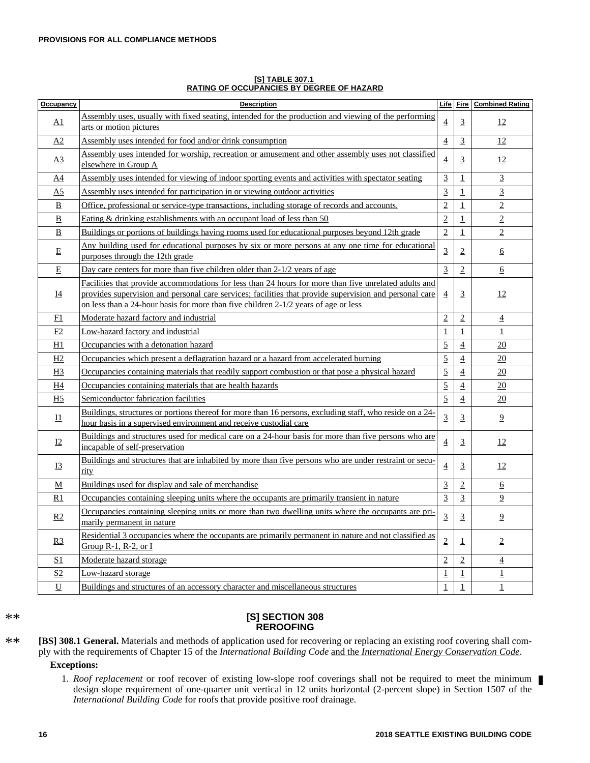| <b>Occupancy</b>         | <b>Description</b>                                                                                                                                                                                                                                                                                     | Life           | Fire           | <b>Combined Rating</b> |
|--------------------------|--------------------------------------------------------------------------------------------------------------------------------------------------------------------------------------------------------------------------------------------------------------------------------------------------------|----------------|----------------|------------------------|
| <u>A1</u>                | Assembly uses, usually with fixed seating, intended for the production and viewing of the performing<br>arts or motion pictures                                                                                                                                                                        | $\overline{4}$ | $\overline{3}$ | 12                     |
| A <sub>2</sub>           | Assembly uses intended for food and/or drink consumption                                                                                                                                                                                                                                               | $\overline{4}$ | $\overline{3}$ | 12                     |
| $\Delta 3$               | Assembly uses intended for worship, recreation or amusement and other assembly uses not classified<br>elsewhere in Group A                                                                                                                                                                             | 4              | $\overline{3}$ | 12                     |
| A4                       | Assembly uses intended for viewing of indoor sporting events and activities with spectator seating                                                                                                                                                                                                     | 3              | $\mathbf 1$    | $\overline{3}$         |
| A <sub>5</sub>           | Assembly uses intended for participation in or viewing outdoor activities                                                                                                                                                                                                                              | 3              | $\mathbf 1$    | $\overline{3}$         |
| B                        | Office, professional or service-type transactions, including storage of records and accounts.                                                                                                                                                                                                          | $\overline{2}$ | $\mathbf 1$    | $\overline{2}$         |
| B                        | Eating $&$ drinking establishments with an occupant load of less than $50$                                                                                                                                                                                                                             | $\overline{2}$ | $\mathbf{1}$   | $\overline{2}$         |
| B                        | Buildings or portions of buildings having rooms used for educational purposes beyond 12th grade                                                                                                                                                                                                        | $\overline{2}$ | $\mathbf{1}$   | $\overline{2}$         |
| E                        | Any building used for educational purposes by six or more persons at any one time for educational<br>purposes through the 12th grade                                                                                                                                                                   | 3              | $\sqrt{2}$     | 6                      |
| $\mathbf E$              | Day care centers for more than five children older than 2-1/2 years of age                                                                                                                                                                                                                             | $\overline{3}$ | $\overline{2}$ | 6                      |
| 14                       | Facilities that provide accommodations for less than 24 hours for more than five unrelated adults and<br>provides supervision and personal care services; facilities that provide supervision and personal care<br>on less than a 24-hour basis for more than five children 2-1/2 years of age or less | $\overline{4}$ | $\overline{3}$ | 12                     |
| F1                       | Moderate hazard factory and industrial                                                                                                                                                                                                                                                                 | $\overline{2}$ | $\sqrt{2}$     | $\overline{4}$         |
| E2                       | Low-hazard factory and industrial                                                                                                                                                                                                                                                                      | $\mathbf 1$    | $\mathbf 1$    | $\mathbf 1$            |
| H1                       | Occupancies with a detonation hazard                                                                                                                                                                                                                                                                   | $\overline{5}$ | $\overline{4}$ | 20                     |
| H2                       | Occupancies which present a deflagration hazard or a hazard from accelerated burning                                                                                                                                                                                                                   | $\overline{5}$ | $\overline{4}$ | 20                     |
| H <sub>3</sub>           | Occupancies containing materials that readily support combustion or that pose a physical hazard                                                                                                                                                                                                        | $\overline{5}$ | $\overline{4}$ | 20                     |
| H4                       | Occupancies containing materials that are health hazards                                                                                                                                                                                                                                               | $\overline{5}$ | $\overline{4}$ | 20                     |
| H <sub>5</sub>           | Semiconductor fabrication facilities                                                                                                                                                                                                                                                                   | $\overline{5}$ | $\overline{4}$ | 20                     |
| $_{\rm 11}$              | Buildings, structures or portions thereof for more than 16 persons, excluding staff, who reside on a 24-<br>hour basis in a supervised environment and receive custodial care                                                                                                                          | $\overline{3}$ | 3              | $\overline{2}$         |
| <u>12</u>                | Buildings and structures used for medical care on a 24-hour basis for more than five persons who are<br>incapable of self-preservation                                                                                                                                                                 | $\overline{4}$ | 3              | 12                     |
| <b>I3</b>                | Buildings and structures that are inhabited by more than five persons who are under restraint or secu-<br>rity                                                                                                                                                                                         | 4              | $\overline{3}$ | 12                     |
| M                        | Buildings used for display and sale of merchandise                                                                                                                                                                                                                                                     | $\overline{3}$ | $\overline{2}$ | 6                      |
| R1                       | Occupancies containing sleeping units where the occupants are primarily transient in nature                                                                                                                                                                                                            | $\overline{3}$ | $\overline{3}$ | $\overline{9}$         |
| R2                       | Occupancies containing sleeping units or more than two dwelling units where the occupants are pri-<br>marily permanent in nature                                                                                                                                                                       | 3              | $\overline{3}$ | $\overline{9}$         |
| R3                       | Residential 3 occupancies where the occupants are primarily permanent in nature and not classified as<br>Group R-1, R-2, or $I$                                                                                                                                                                        | $\overline{2}$ | $\perp$        | $\overline{2}$         |
| S <sub>1</sub>           | Moderate hazard storage                                                                                                                                                                                                                                                                                | $\overline{2}$ | $\overline{2}$ | $\overline{4}$         |
| S <sub>2</sub>           | Low-hazard storage                                                                                                                                                                                                                                                                                     | $\mathbf 1$    | $\mathbf{1}$   | 1                      |
| $\underline{\mathbf{U}}$ | Buildings and structures of an accessory character and miscellaneous structures                                                                                                                                                                                                                        | $\mathbf{1}$   | $\mathbf{1}$   | $\mathbf{1}$           |

**[S] TABLE 307.1 RATING OF OCCUPANCIES BY DEGREE OF HAZARD**

#### \*\*

#### **[S] SECTION 308 REROOFING**

**[BS] 308.1 General.** Materials and methods of application used for recovering or replacing an existing roof covering shall comply with the requirements of Chapter 15 of the *International Building Code* and the *International Energy Conservation Code*. \*\*

#### **Exceptions:**

1. *Roof replacement* or roof recover of existing low-slope roof coverings shall not be required to meet the minimum design slope requirement of one-quarter unit vertical in 12 units horizontal (2-percent slope) in Section 1507 of the *International Building Code* for roofs that provide positive roof drainage.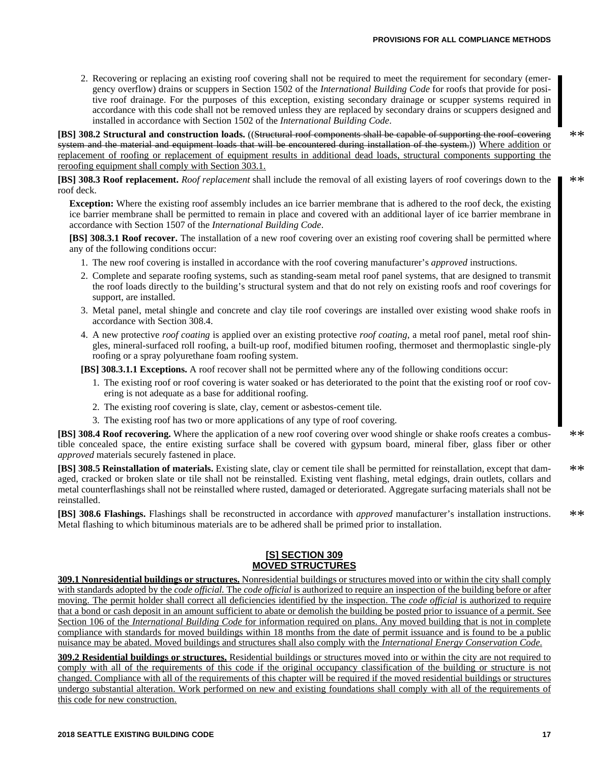2. Recovering or replacing an existing roof covering shall not be required to meet the requirement for secondary (emergency overflow) drains or scuppers in Section 1502 of the *International Building Code* for roofs that provide for positive roof drainage. For the purposes of this exception, existing secondary drainage or scupper systems required in accordance with this code shall not be removed unless they are replaced by secondary drains or scuppers designed and installed in accordance with Section 1502 of the *International Building Code*.

**[BS] 308.2 Structural and construction loads.** ((Structural roof components shall be capable of supporting the roof-covering system and the material and equipment loads that will be encountered during installation of the system.)) Where addition or replacement of roofing or replacement of equipment results in additional dead loads, structural components supporting the reroofing equipment shall comply with Section 303.1.

**[BS] 308.3 Roof replacement.** *Roof replacement* shall include the removal of all existing layers of roof coverings down to the roof deck. \*\*

**Exception:** Where the existing roof assembly includes an ice barrier membrane that is adhered to the roof deck, the existing ice barrier membrane shall be permitted to remain in place and covered with an additional layer of ice barrier membrane in accordance with Section 1507 of the *International Building Code*.

**[BS] 308.3.1 Roof recover.** The installation of a new roof covering over an existing roof covering shall be permitted where any of the following conditions occur:

- 1. The new roof covering is installed in accordance with the roof covering manufacturer's *approved* instructions.
- 2. Complete and separate roofing systems, such as standing-seam metal roof panel systems, that are designed to transmit the roof loads directly to the building's structural system and that do not rely on existing roofs and roof coverings for support, are installed.
- 3. Metal panel, metal shingle and concrete and clay tile roof coverings are installed over existing wood shake roofs in accordance with Section 308.4.
- 4. A new protective *roof coating* is applied over an existing protective *roof coating*, a metal roof panel, metal roof shingles, mineral-surfaced roll roofing, a built-up roof, modified bitumen roofing, thermoset and thermoplastic single-ply roofing or a spray polyurethane foam roofing system.

**[BS] 308.3.1.1 Exceptions.** A roof recover shall not be permitted where any of the following conditions occur:

- 1. The existing roof or roof covering is water soaked or has deteriorated to the point that the existing roof or roof covering is not adequate as a base for additional roofing.
- 2. The existing roof covering is slate, clay, cement or asbestos-cement tile.
- 3. The existing roof has two or more applications of any type of roof covering.

**[BS] 308.4 Roof recovering.** Where the application of a new roof covering over wood shingle or shake roofs creates a combustible concealed space, the entire existing surface shall be covered with gypsum board, mineral fiber, glass fiber or other *approved* materials securely fastened in place.

**[BS] 308.5 Reinstallation of materials.** Existing slate, clay or cement tile shall be permitted for reinstallation, except that damaged, cracked or broken slate or tile shall not be reinstalled. Existing vent flashing, metal edgings, drain outlets, collars and metal counterflashings shall not be reinstalled where rusted, damaged or deteriorated. Aggregate surfacing materials shall not be reinstalled. \*\*

**[BS] 308.6 Flashings.** Flashings shall be reconstructed in accordance with *approved* manufacturer's installation instructions. Metal flashing to which bituminous materials are to be adhered shall be primed prior to installation. \*\*

#### **[S] SECTION 309 MOVED STRUCTURES**

**309.1 Nonresidential buildings or structures.** Nonresidential buildings or structures moved into or within the city shall comply with standards adopted by the *code official.* The *code official* is authorized to require an inspection of the building before or after moving. The permit holder shall correct all deficiencies identified by the inspection. The *code official* is authorized to require that a bond or cash deposit in an amount sufficient to abate or demolish the building be posted prior to issuance of a permit. See Section 106 of the *International Building Code* for information required on plans. Any moved building that is not in complete compliance with standards for moved buildings within 18 months from the date of permit issuance and is found to be a public nuisance may be abated. Moved buildings and structures shall also comply with the *International Energy Conservation Code.*

**309.2 Residential buildings or structures.** Residential buildings or structures moved into or within the city are not required to comply with all of the requirements of this code if the original occupancy classification of the building or structure is not changed. Compliance with all of the requirements of this chapter will be required if the moved residential buildings or structures undergo substantial alteration. Work performed on new and existing foundations shall comply with all of the requirements of this code for new construction.

\*\*

\*\*